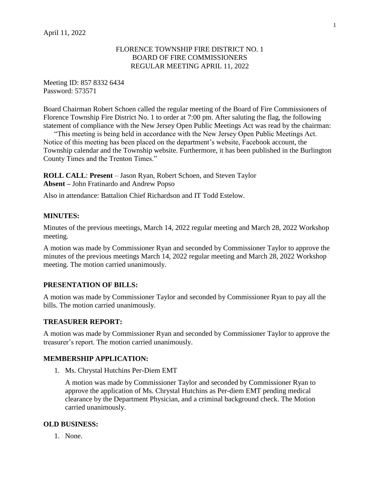### FLORENCE TOWNSHIP FIRE DISTRICT NO. 1 BOARD OF FIRE COMMISSIONERS REGULAR MEETING APRIL 11, 2022

Meeting ID: 857 8332 6434 Password: 573571

Board Chairman Robert Schoen called the regular meeting of the Board of Fire Commissioners of Florence Township Fire District No. 1 to order at 7:00 pm. After saluting the flag, the following statement of compliance with the New Jersey Open Public Meetings Act was read by the chairman:

"This meeting is being held in accordance with the New Jersey Open Public Meetings Act. Notice of this meeting has been placed on the department's website, Facebook account, the Township calendar and the Township website. Furthermore, it has been published in the Burlington County Times and the Trenton Times."

**ROLL CALL**: **Present** – Jason Ryan, Robert Schoen, and Steven Taylor **Absent –** John Fratinardo and Andrew Popso

Also in attendance: Battalion Chief Richardson and IT Todd Estelow.

## **MINUTES:**

Minutes of the previous meetings, March 14, 2022 regular meeting and March 28, 2022 Workshop meeting.

A motion was made by Commissioner Ryan and seconded by Commissioner Taylor to approve the minutes of the previous meetings March 14, 2022 regular meeting and March 28, 2022 Workshop meeting. The motion carried unanimously.

## **PRESENTATION OF BILLS:**

A motion was made by Commissioner Taylor and seconded by Commissioner Ryan to pay all the bills. The motion carried unanimously.

#### **TREASURER REPORT:**

A motion was made by Commissioner Ryan and seconded by Commissioner Taylor to approve the treasurer's report. The motion carried unanimously.

#### **MEMBERSHIP APPLICATION:**

1. Ms. Chrystal Hutchins Per-Diem EMT

A motion was made by Commissioner Taylor and seconded by Commissioner Ryan to approve the application of Ms. Chrystal Hutchins as Per-diem EMT pending medical clearance by the Department Physician, and a criminal background check. The Motion carried unanimously.

#### **OLD BUSINESS:**

1. None.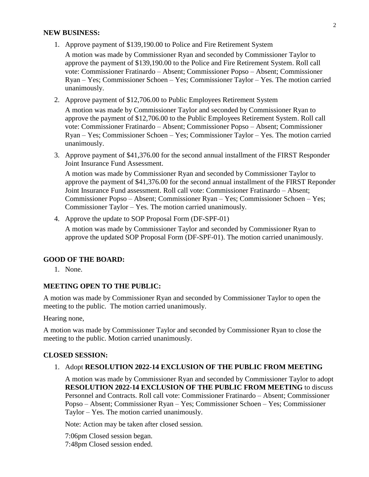#### **NEW BUSINESS:**

1. Approve payment of \$139,190.00 to Police and Fire Retirement System

A motion was made by Commissioner Ryan and seconded by Commissioner Taylor to approve the payment of \$139,190.00 to the Police and Fire Retirement System. Roll call vote: Commissioner Fratinardo – Absent; Commissioner Popso – Absent; Commissioner Ryan – Yes; Commissioner Schoen – Yes; Commissioner Taylor – Yes. The motion carried unanimously.

2. Approve payment of \$12,706.00 to Public Employees Retirement System

A motion was made by Commissioner Taylor and seconded by Commissioner Ryan to approve the payment of \$12,706.00 to the Public Employees Retirement System. Roll call vote: Commissioner Fratinardo – Absent; Commissioner Popso – Absent; Commissioner Ryan – Yes; Commissioner Schoen – Yes; Commissioner Taylor – Yes. The motion carried unanimously.

3. Approve payment of \$41,376.00 for the second annual installment of the FIRST Responder Joint Insurance Fund Assessment.

A motion was made by Commissioner Ryan and seconded by Commissioner Taylor to approve the payment of \$41,376.00 for the second annual installment of the FIRST Reponder Joint Insurance Fund assessment. Roll call vote: Commissioner Fratinardo – Absent; Commissioner Popso – Absent; Commissioner Ryan – Yes; Commissioner Schoen – Yes; Commissioner Taylor – Yes. The motion carried unanimously.

4. Approve the update to SOP Proposal Form (DF-SPF-01)

A motion was made by Commissioner Taylor and seconded by Commissioner Ryan to approve the updated SOP Proposal Form (DF-SPF-01). The motion carried unanimously.

#### **GOOD OF THE BOARD:**

1. None.

# **MEETING OPEN TO THE PUBLIC:**

A motion was made by Commissioner Ryan and seconded by Commissioner Taylor to open the meeting to the public. The motion carried unanimously.

Hearing none,

A motion was made by Commissioner Taylor and seconded by Commissioner Ryan to close the meeting to the public. Motion carried unanimously.

## **CLOSED SESSION:**

#### 1. Adopt **RESOLUTION 2022-14 EXCLUSION OF THE PUBLIC FROM MEETING**

A motion was made by Commissioner Ryan and seconded by Commissioner Taylor to adopt **RESOLUTION 2022-14 EXCLUSION OF THE PUBLIC FROM MEETING** to discuss Personnel and Contracts. Roll call vote: Commissioner Fratinardo – Absent; Commissioner Popso – Absent; Commissioner Ryan – Yes; Commissioner Schoen – Yes; Commissioner Taylor – Yes. The motion carried unanimously.

Note: Action may be taken after closed session.

7:06pm Closed session began. 7:48pm Closed session ended.